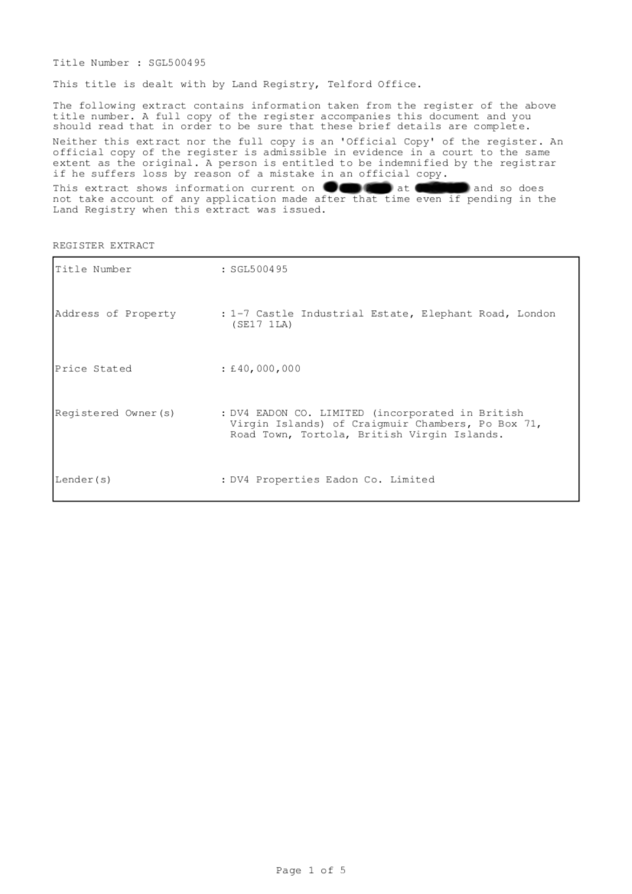Title Number : SGL500495

This title is dealt with by Land Registry, Telford Office.

The following extract contains information taken from the register of the above title number. A full copy of the register accompanies this document and you should read that in order to be sure that these brief details are complete.

Neither this extract nor the full copy is an 'Official Copy' of the register. An official copy of the register is admissible in evidence in a court to the same extent as the original. A person is entitled to be indemnified by the registrar if he suffers loss by reason of a mistake in an official copy.

This extract shows information current on **OCOO** at CHANGE and so does not take account of any application made after that time even if pending in the Land Registry when this extract was issued.

|  | REGISTER EXTRACT |
|--|------------------|
|  |                  |

| Title Number        | : SGL500495                                                                                                                                          |  |
|---------------------|------------------------------------------------------------------------------------------------------------------------------------------------------|--|
| Address of Property | : 1-7 Castle Industrial Estate, Elephant Road, London<br>(SE17 ILA)                                                                                  |  |
| Price Stated        | : £40,000,000                                                                                                                                        |  |
| Registered Owner(s) | : DV4 EADON CO. LIMITED (incorporated in British<br>Virgin Islands) of Craigmuir Chambers, Po Box 71,<br>Road Town, Tortola, British Virgin Islands. |  |
| Lender(s)           | : DV4 Properties Eadon Co. Limited                                                                                                                   |  |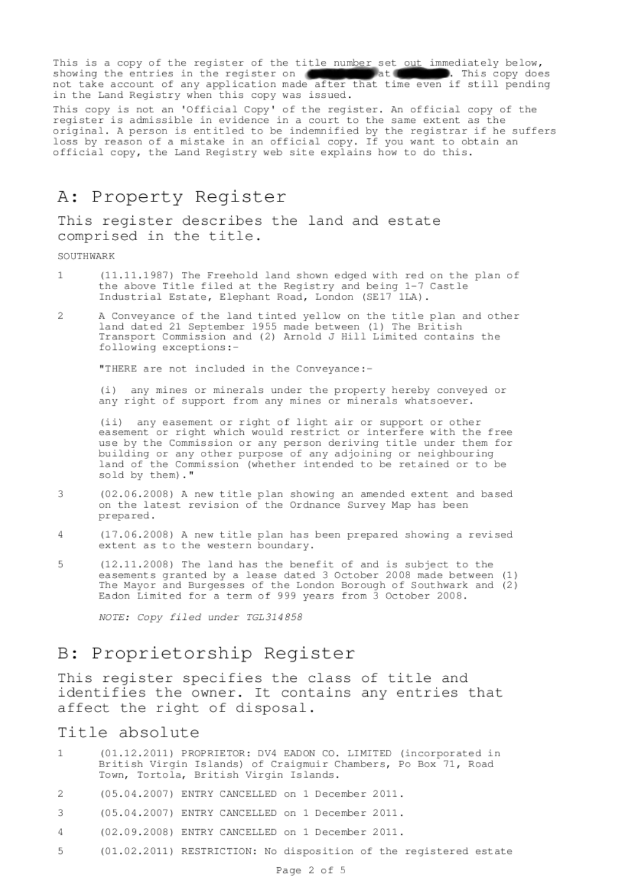This is a copy of the register of the title number set out immediately below, showing the entries in the register on showing the entries in the register on the after that time even if still pending<br>not take account of any application made after that time even if still pending in the Land Registry when this copy was issued.

This copy is not an 'Official Copy' of the register. An official copy of the register is admissible in evidence in a court to the same extent as the original. A person is entitled to be indemnified by the registrar if he suffers<br>loss by reason of a mistake in an official copy. If you want to obtain an official copy, the Land Registry web site explains how to do this.

# A: Property Register

This register describes the land and estate comprised in the title.

#### SOUTHWARK

- (11.11.1987) The Freehold land shown edged with red on the plan of  $\mathbf{1}$ the above Title filed at the Registry and being 1-7 Castle Industrial Estate, Elephant Road, London (SE17 1LA).
- A Conveyance of the land tinted yellow on the title plan and other<br>land dated 21 September 1955 made between (1) The British 2 Transport Commission and (2) Arnold J Hill Limited contains the following exceptions:-

"THERE are not included in the Conveyance:-

(i) any mines or minerals under the property hereby conveyed or any right of support from any mines or minerals whatsoever.

(ii) any easement or right of light air or support or other easement or right which would restrict or interfere with the free use by the Commission or any person deriving title under them for building or any other purpose of any adjoining or neighbouring<br>land of the Commission (whether intended to be retained or to be sold by them)."

- (02.06.2008) A new title plan showing an amended extent and based 3 on the latest revision of the Ordnance Survey Map has been prepared.
- (17.06.2008) A new title plan has been prepared showing a revised  $\Delta$ extent as to the western boundary.
- (12.11.2008) The land has the benefit of and is subject to the 5 easements granted by a lease dated 3 October 2008 made between (1) The Mayor and Burgesses of the London Borough of Southwark and (2) Eadon Limited for a term of 999 years from 3 October 2008.

NOTE: Copy filed under TGL314858

### B: Proprietorship Register

This register specifies the class of title and identifies the owner. It contains any entries that affect the right of disposal.

#### Title absolute

- (01.12.2011) PROPRIETOR: DV4 EADON CO. LIMITED (incorporated in 1 British Virgin Islands) of Craigmuir Chambers, Po Box 71, Road<br>Town, Tortola, British Virgin Islands.
- $\overline{2}$ (05.04.2007) ENTRY CANCELLED on 1 December 2011.
- 3 (05.04.2007) ENTRY CANCELLED on 1 December 2011.
- 4 (02.09.2008) ENTRY CANCELLED on 1 December 2011.
- 5 (01.02.2011) RESTRICTION: No disposition of the registered estate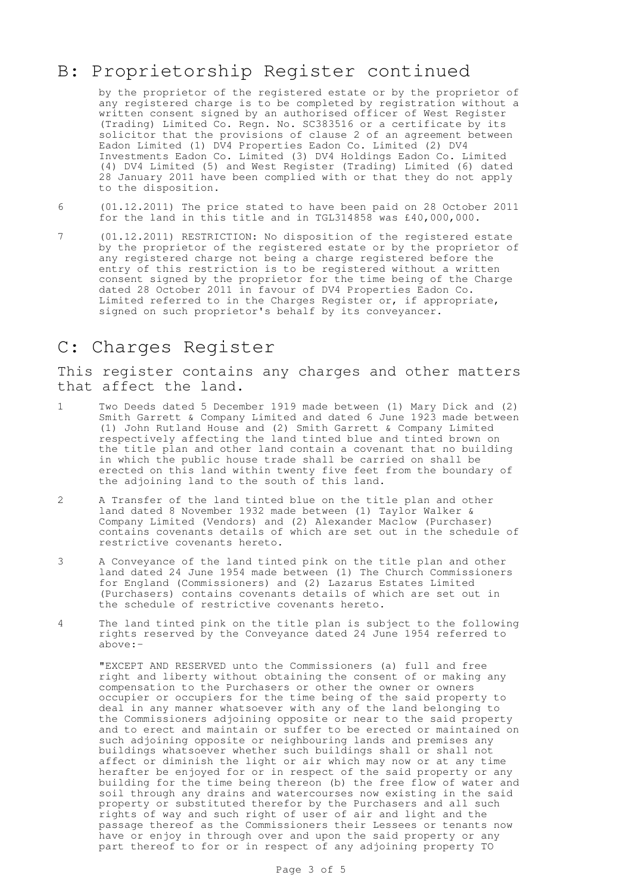# B: Proprietorship Register continued

by the proprietor of the registered estate or by the proprietor of any registered charge is to be completed by registration without a written consent signed by an authorised officer of West Register (Trading) Limited Co. Regn. No. SC383516 or a certificate by its solicitor that the provisions of clause 2 of an agreement between Eadon Limited (1) DV4 Properties Eadon Co. Limited (2) DV4 Investments Eadon Co. Limited (3) DV4 Holdings Eadon Co. Limited (4) DV4 Limited (5) and West Register (Trading) Limited (6) dated 28 January 2011 have been complied with or that they do not apply to the disposition.

- 6 (01.12.2011) The price stated to have been paid on 28 October 2011 for the land in this title and in TGL314858 was £40,000,000.
- 7 (01.12.2011) RESTRICTION: No disposition of the registered estate by the proprietor of the registered estate or by the proprietor of any registered charge not being a charge registered before the entry of this restriction is to be registered without a written consent signed by the proprietor for the time being of the Charge dated 28 October 2011 in favour of DV4 Properties Eadon Co. Limited referred to in the Charges Register or, if appropriate, signed on such proprietor's behalf by its conveyancer.

## C: Charges Register

This register contains any charges and other matters that affect the land.

- 1 Two Deeds dated 5 December 1919 made between (1) Mary Dick and (2) Smith Garrett & Company Limited and dated 6 June 1923 made between (1) John Rutland House and (2) Smith Garrett & Company Limited respectively affecting the land tinted blue and tinted brown on the title plan and other land contain a covenant that no building in which the public house trade shall be carried on shall be erected on this land within twenty five feet from the boundary of the adjoining land to the south of this land.
- 2 A Transfer of the land tinted blue on the title plan and other land dated 8 November 1932 made between (1) Taylor Walker & Company Limited (Vendors) and (2) Alexander Maclow (Purchaser) contains covenants details of which are set out in the schedule of restrictive covenants hereto.
- 3 A Conveyance of the land tinted pink on the title plan and other land dated 24 June 1954 made between (1) The Church Commissioners for England (Commissioners) and (2) Lazarus Estates Limited (Purchasers) contains covenants details of which are set out in the schedule of restrictive covenants hereto.
- 4 The land tinted pink on the title plan is subject to the following rights reserved by the Conveyance dated 24 June 1954 referred to above:-

"EXCEPT AND RESERVED unto the Commissioners (a) full and free right and liberty without obtaining the consent of or making any compensation to the Purchasers or other the owner or owners occupier or occupiers for the time being of the said property to deal in any manner whatsoever with any of the land belonging to the Commissioners adjoining opposite or near to the said property and to erect and maintain or suffer to be erected or maintained on such adjoining opposite or neighbouring lands and premises any buildings whatsoever whether such buildings shall or shall not affect or diminish the light or air which may now or at any time herafter be enjoyed for or in respect of the said property or any building for the time being thereon (b) the free flow of water and soil through any drains and watercourses now existing in the said property or substituted therefor by the Purchasers and all such rights of way and such right of user of air and light and the passage thereof as the Commissioners their Lessees or tenants now have or enjoy in through over and upon the said property or any part thereof to for or in respect of any adjoining property TO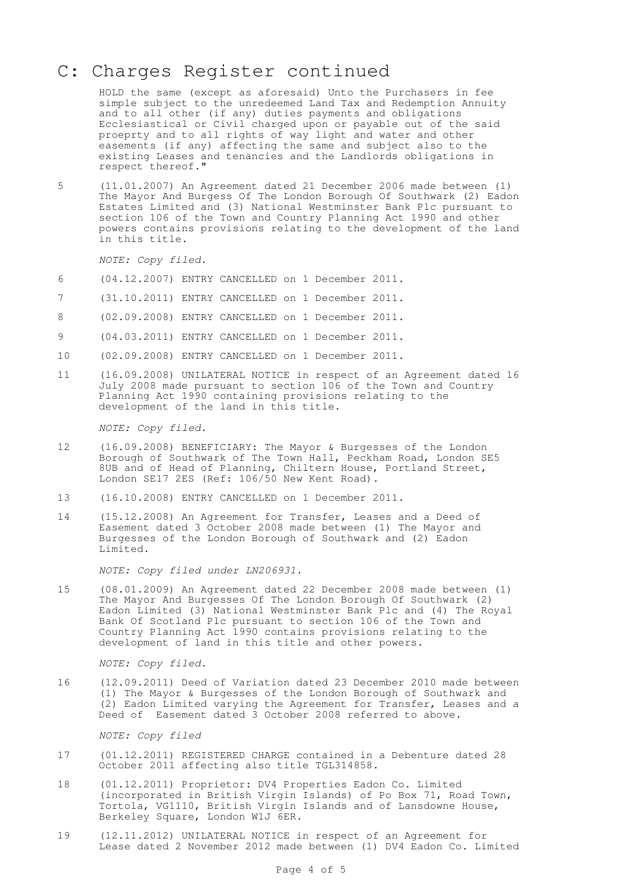# C: Charges Register continued

HOLD the same (except as aforesaid) Unto the Purchasers in fee simple subject to the unredeemed Land Tax and Redemption Annuity and to all other (if any) duties payments and obligations Ecclesiastical or Civil charged upon or payable out of the said proeprty and to all rights of way light and water and other easements (if any) affecting the same and subject also to the existing Leases and tenancies and the Landlords obligations in respect thereof."

5 (11.01.2007) An Agreement dated 21 December 2006 made between (1) The Mayor And Burgess Of The London Borough Of Southwark (2) Eadon Estates Limited and (3) National Westminster Bank Plc pursuant to section 106 of the Town and Country Planning Act 1990 and other powers contains provisions relating to the development of the land in this title.

NOTE: Copy filed.

- 6 (04.12.2007) ENTRY CANCELLED on 1 December 2011.
- 7 (31.10.2011) ENTRY CANCELLED on 1 December 2011.
- 8 (02.09.2008) ENTRY CANCELLED on 1 December 2011.
- 9 (04.03.2011) ENTRY CANCELLED on 1 December 2011.
- 10 (02.09.2008) ENTRY CANCELLED on 1 December 2011.
- 11 (16.09.2008) UNILATERAL NOTICE in respect of an Agreement dated 16 July 2008 made pursuant to section 106 of the Town and Country Planning Act 1990 containing provisions relating to the development of the land in this title.

NOTE: Copy filed.

- 12 (16.09.2008) BENEFICIARY: The Mayor & Burgesses of the London Borough of Southwark of The Town Hall, Peckham Road, London SE5 8UB and of Head of Planning, Chiltern House, Portland Street, London SE17 2ES (Ref: 106/50 New Kent Road).
- 13 (16.10.2008) ENTRY CANCELLED on 1 December 2011.
- 14 (15.12.2008) An Agreement for Transfer, Leases and a Deed of Easement dated 3 October 2008 made between (1) The Mayor and Burgesses of the London Borough of Southwark and (2) Eadon Limited.

NOTE: Copy filed under LN206931.

15 (08.01.2009) An Agreement dated 22 December 2008 made between (1) The Mayor And Burgesses Of The London Borough Of Southwark (2) Eadon Limited (3) National Westminster Bank Plc and (4) The Royal Bank Of Scotland Plc pursuant to section 106 of the Town and Country Planning Act 1990 contains provisions relating to the development of land in this title and other powers.

NOTE: Copy filed.

16 (12.09.2011) Deed of Variation dated 23 December 2010 made between (1) The Mayor & Burgesses of the London Borough of Southwark and (2) Eadon Limited varying the Agreement for Transfer, Leases and a Deed of Easement dated 3 October 2008 referred to above.

NOTE: Copy filed

- 17 (01.12.2011) REGISTERED CHARGE contained in a Debenture dated 28 October 2011 affecting also title TGL314858.
- 18 (01.12.2011) Proprietor: DV4 Properties Eadon Co. Limited (incorporated in British Virgin Islands) of Po Box 71, Road Town, Tortola, VG1110, British Virgin Islands and of Lansdowne House, Berkeley Square, London W1J 6ER.
- 19 (12.11.2012) UNILATERAL NOTICE in respect of an Agreement for Lease dated 2 November 2012 made between (1) DV4 Eadon Co. Limited